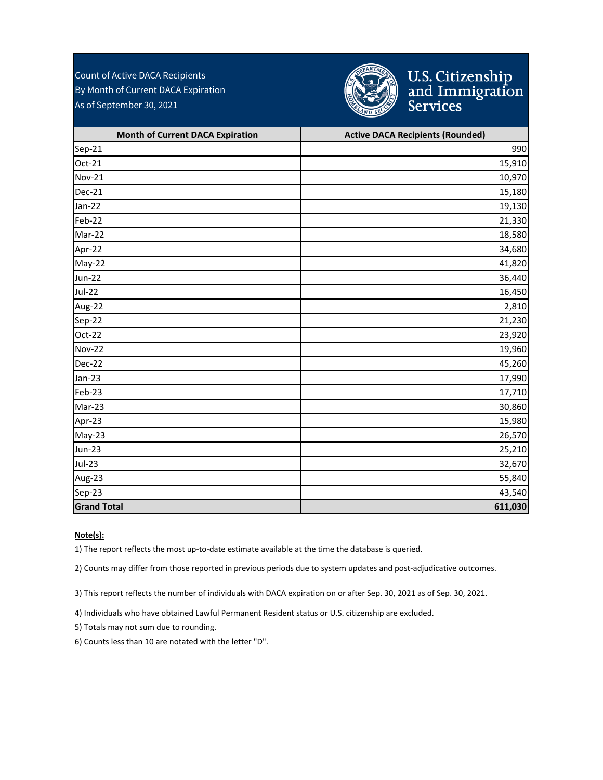Count of Active DACA Recipients By Month of Current DACA Expiration As of September 30, 2021



## U.S. Citizenship<br>and Immigration<br>Services

| <b>Month of Current DACA Expiration</b> | <b>Active DACA Recipients (Rounded)</b> |
|-----------------------------------------|-----------------------------------------|
| Sep-21                                  | 990                                     |
| Oct-21                                  | 15,910                                  |
| <b>Nov-21</b>                           | 10,970                                  |
| Dec-21                                  | 15,180                                  |
| Jan-22                                  | 19,130                                  |
| Feb-22                                  | 21,330                                  |
| Mar-22                                  | 18,580                                  |
| Apr-22                                  | 34,680                                  |
| May-22                                  | 41,820                                  |
| <b>Jun-22</b>                           | 36,440                                  |
| <b>Jul-22</b>                           | 16,450                                  |
| Aug-22                                  | 2,810                                   |
| Sep-22                                  | 21,230                                  |
| Oct-22                                  | 23,920                                  |
| <b>Nov-22</b>                           | 19,960                                  |
| Dec-22                                  | 45,260                                  |
| Jan-23                                  | 17,990                                  |
| Feb-23                                  | 17,710                                  |
| Mar-23                                  | 30,860                                  |
| Apr-23                                  | 15,980                                  |
| May-23                                  | 26,570                                  |
| <b>Jun-23</b>                           | 25,210                                  |
| <b>Jul-23</b>                           | 32,670                                  |
| Aug-23                                  | 55,840                                  |
| Sep-23                                  | 43,540                                  |
| <b>Grand Total</b>                      | 611,030                                 |

#### **Note(s):**

1) The report reflects the most up-to-date estimate available at the time the database is queried.

2) Counts may differ from those reported in previous periods due to system updates and post-adjudicative outcomes.

3) This report reflects the number of individuals with DACA expiration on or after Sep. 30, 2021 as of Sep. 30, 2021.

4) Individuals who have obtained Lawful Permanent Resident status or U.S. citizenship are excluded.

5) Totals may not sum due to rounding.

6) Counts less than 10 are notated with the letter "D".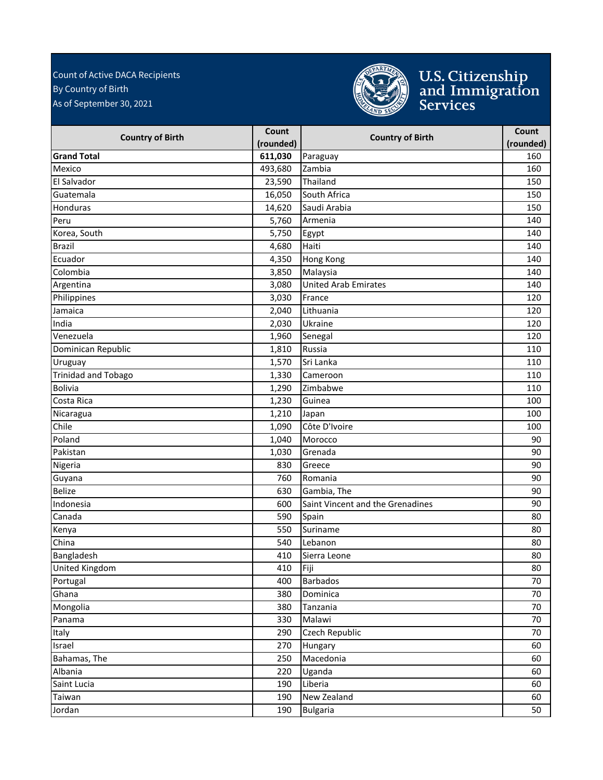#### As of September 30, 2021 Count of Active DACA Recipients By Country of Birth



# U.S. Citizenship<br>and Immigration<br>Services

| <b>Country of Birth</b>    | Count     | <b>Country of Birth</b>          | Count     |
|----------------------------|-----------|----------------------------------|-----------|
|                            | (rounded) |                                  | (rounded) |
| <b>Grand Total</b>         | 611,030   | Paraguay                         | 160       |
| Mexico                     | 493,680   | Zambia                           | 160       |
| El Salvador                | 23,590    | Thailand                         | 150       |
| Guatemala                  | 16,050    | South Africa                     | 150       |
| Honduras                   | 14,620    | Saudi Arabia                     | 150       |
| Peru                       | 5,760     | Armenia                          | 140       |
| Korea, South               | 5,750     | Egypt                            | 140       |
| <b>Brazil</b>              | 4,680     | Haiti                            | 140       |
| Ecuador                    | 4,350     | Hong Kong                        | 140       |
| Colombia                   | 3,850     | Malaysia                         | 140       |
| Argentina                  | 3,080     | <b>United Arab Emirates</b>      | 140       |
| Philippines                | 3,030     | France                           | 120       |
| Jamaica                    | 2,040     | Lithuania                        | 120       |
| India                      | 2,030     | Ukraine                          | 120       |
| Venezuela                  | 1,960     | Senegal                          | 120       |
| Dominican Republic         | 1,810     | Russia                           | 110       |
| Uruguay                    | 1,570     | Sri Lanka                        | 110       |
| <b>Trinidad and Tobago</b> | 1,330     | Cameroon                         | 110       |
| Bolivia                    | 1,290     | Zimbabwe                         | 110       |
| Costa Rica                 | 1,230     | Guinea                           | 100       |
| Nicaragua                  | 1,210     | Japan                            | 100       |
| Chile                      | 1,090     | Côte D'Ivoire                    | 100       |
| Poland                     | 1,040     | Morocco                          | 90        |
| Pakistan                   | 1,030     | Grenada                          | 90        |
| Nigeria                    | 830       | Greece                           | 90        |
| Guyana                     | 760       | Romania                          | 90        |
| Belize                     | 630       | Gambia, The                      | 90        |
| Indonesia                  | 600       | Saint Vincent and the Grenadines | 90        |
| Canada                     | 590       | Spain                            | 80        |
| Kenya                      | 550       | Suriname                         | 80        |
| China                      | 540       | Lebanon                          | 80        |
| Bangladesh                 | 410       | Sierra Leone                     | 80        |
| <b>United Kingdom</b>      | 410       | Fiji                             | 80        |
| Portugal                   | 400       | <b>Barbados</b>                  | 70        |
| Ghana                      | 380       | Dominica                         | 70        |
| Mongolia                   | 380       | Tanzania                         | 70        |
| Panama                     | 330       | Malawi                           | 70        |
| Italy                      | 290       | Czech Republic                   | 70        |
| Israel                     | 270       | Hungary                          | 60        |
| Bahamas, The               | 250       | Macedonia                        | 60        |
| Albania                    | 220       | Uganda                           | 60        |
| Saint Lucia                | 190       | Liberia                          | 60        |
| Taiwan                     | 190       | New Zealand                      | 60        |
| Jordan                     | 190       | <b>Bulgaria</b>                  | 50        |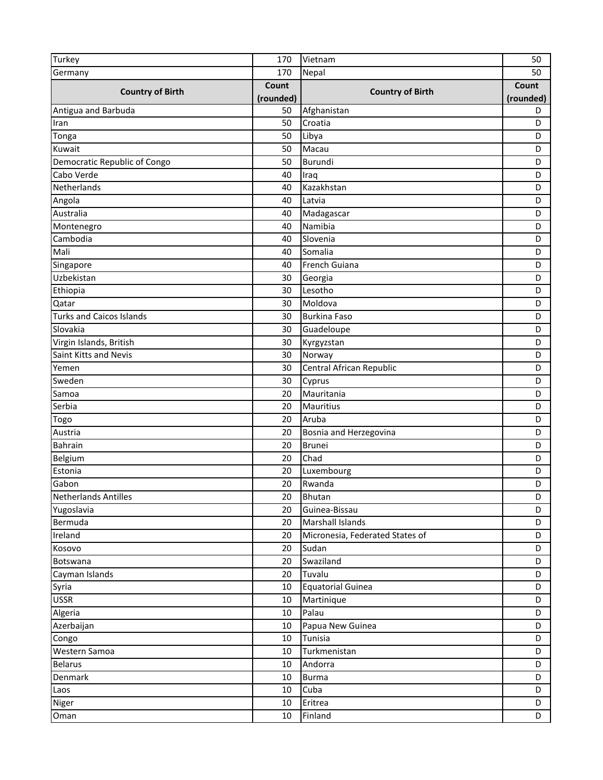| Turkey                          | 170       | Vietnam                         | 50        |
|---------------------------------|-----------|---------------------------------|-----------|
| Germany                         | 170       | Nepal                           | 50        |
|                                 | Count     |                                 | Count     |
| <b>Country of Birth</b>         | (rounded) | <b>Country of Birth</b>         | (rounded) |
| Antigua and Barbuda             | 50        | Afghanistan                     | D         |
| Iran                            | 50        | Croatia                         | D         |
| Tonga                           | 50        | Libya                           | D         |
| Kuwait                          | 50        | Macau                           | D         |
| Democratic Republic of Congo    | 50        | Burundi                         | D         |
| Cabo Verde                      | 40        | Iraq                            | D         |
| Netherlands                     | 40        | Kazakhstan                      | D         |
| Angola                          | 40        | Latvia                          | D         |
| Australia                       | 40        | Madagascar                      | D         |
| Montenegro                      | 40        | Namibia                         | D         |
| Cambodia                        | 40        | Slovenia                        | D         |
| Mali                            | 40        | Somalia                         | D         |
| Singapore                       | 40        | French Guiana                   | D         |
| Uzbekistan                      | 30        | Georgia                         | D         |
| Ethiopia                        | 30        | Lesotho                         | D         |
| Qatar                           | 30        | Moldova                         | D         |
| <b>Turks and Caicos Islands</b> | 30        | <b>Burkina Faso</b>             | D         |
| Slovakia                        | 30        | Guadeloupe                      | D         |
| Virgin Islands, British         | 30        | Kyrgyzstan                      | D         |
| Saint Kitts and Nevis           | 30        | Norway                          | D         |
| Yemen                           | 30        | Central African Republic        | D         |
| Sweden                          | 30        | Cyprus                          | D         |
| Samoa                           | 20        | Mauritania                      | D         |
| Serbia                          | 20        | Mauritius                       | D         |
| Togo                            | 20        | Aruba                           | D         |
| Austria                         | 20        | Bosnia and Herzegovina          | D         |
| Bahrain                         | 20        | <b>Brunei</b>                   | D         |
| Belgium                         | 20        | Chad                            | D         |
| Estonia                         | 20        | Luxembourg                      | D         |
| Gabon                           | 20        | Rwanda                          | D         |
| Netherlands Antilles            | 20        | Bhutan                          | D         |
| Yugoslavia                      | 20        | Guinea-Bissau                   | D         |
| Bermuda                         | 20        | Marshall Islands                | D         |
| Ireland                         | 20        | Micronesia, Federated States of | D         |
| Kosovo                          | 20        | Sudan                           | D         |
| Botswana                        | 20        | Swaziland                       | D         |
| Cayman Islands                  | 20        | Tuvalu                          | D         |
| Syria                           | 10        | <b>Equatorial Guinea</b>        | D         |
| <b>USSR</b>                     | 10        | Martinique                      | D         |
| Algeria                         | 10        | Palau                           | D         |
| Azerbaijan                      | 10        | Papua New Guinea                | D         |
| Congo                           | 10        | Tunisia                         | D         |
| Western Samoa                   | 10        | Turkmenistan                    | D         |
| <b>Belarus</b>                  | 10        | Andorra                         | D         |
| Denmark                         | 10        | <b>Burma</b>                    | D         |
| Laos                            | 10        | Cuba                            | D         |
| Niger                           | 10        | Eritrea                         | D         |
| Oman                            | 10        | Finland                         | D         |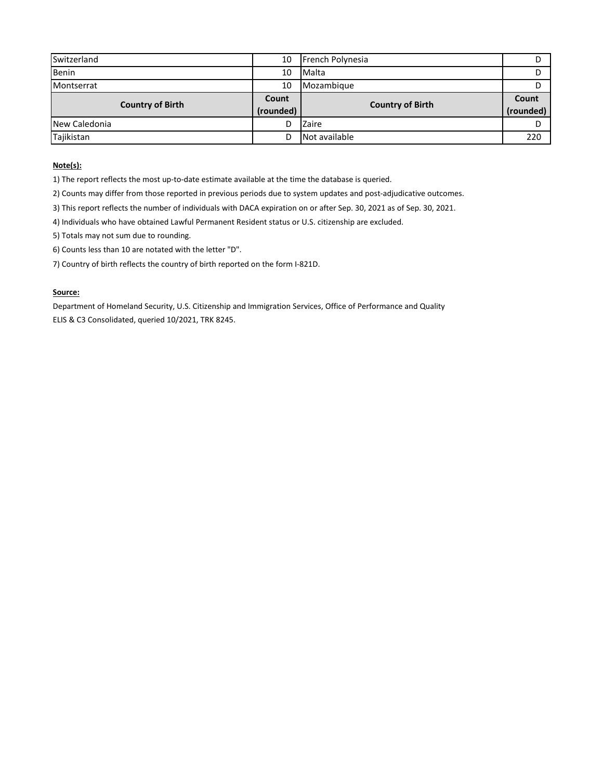| Switzerland             | 10                 | French Polynesia        |                    |
|-------------------------|--------------------|-------------------------|--------------------|
| <b>Benin</b>            | 10                 | Malta                   |                    |
| Montserrat              | 10                 | Mozambique              |                    |
| <b>Country of Birth</b> | Count<br>(rounded) | <b>Country of Birth</b> | Count<br>(rounded) |
| New Caledonia           | D                  | Zaire                   |                    |
| Tajikistan              | D                  | Not available           | 220                |

#### **Note(s):**

1) The report reflects the most up-to-date estimate available at the time the database is queried.

2) Counts may differ from those reported in previous periods due to system updates and post-adjudicative outcomes.

3) This report reflects the number of individuals with DACA expiration on or after Sep. 30, 2021 as of Sep. 30, 2021.

4) Individuals who have obtained Lawful Permanent Resident status or U.S. citizenship are excluded.

5) Totals may not sum due to rounding.

6) Counts less than 10 are notated with the letter "D".

7) Country of birth reflects the country of birth reported on the form I-821D.

#### **Source:**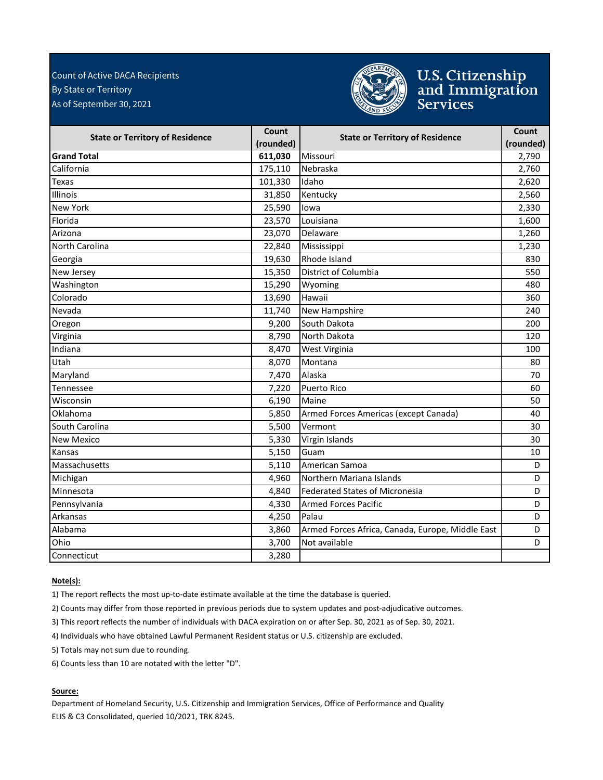#### By State or Territory As of September 30, 2021 Count of Active DACA Recipients



### U.S. Citizenship<br>and Immigration<br>Services

| <b>State or Territory of Residence</b> | Count     | <b>State or Territory of Residence</b>           | Count     |
|----------------------------------------|-----------|--------------------------------------------------|-----------|
|                                        | (rounded) |                                                  | (rounded) |
| <b>Grand Total</b>                     | 611,030   | Missouri                                         | 2,790     |
| California                             | 175,110   | Nebraska                                         | 2,760     |
| <b>Texas</b>                           | 101,330   | Idaho                                            | 2,620     |
| Illinois                               | 31,850    | Kentucky                                         | 2,560     |
| <b>New York</b>                        | 25,590    | lowa                                             | 2,330     |
| Florida                                | 23,570    | Louisiana                                        | 1,600     |
| Arizona                                | 23,070    | Delaware                                         | 1,260     |
| North Carolina                         | 22,840    | Mississippi                                      | 1,230     |
| Georgia                                | 19,630    | Rhode Island                                     | 830       |
| New Jersey                             | 15,350    | District of Columbia                             | 550       |
| Washington                             | 15,290    | Wyoming                                          | 480       |
| Colorado                               | 13,690    | Hawaii                                           | 360       |
| Nevada                                 | 11,740    | New Hampshire                                    | 240       |
| Oregon                                 | 9,200     | South Dakota                                     | 200       |
| Virginia                               | 8,790     | North Dakota                                     | 120       |
| Indiana                                | 8,470     | West Virginia                                    | 100       |
| Utah                                   | 8,070     | Montana                                          | 80        |
| Maryland                               | 7,470     | Alaska                                           | 70        |
| Tennessee                              | 7,220     | <b>Puerto Rico</b>                               | 60        |
| Wisconsin                              | 6,190     | Maine                                            | 50        |
| Oklahoma                               | 5,850     | Armed Forces Americas (except Canada)            | 40        |
| South Carolina                         | 5,500     | Vermont                                          | 30        |
| <b>New Mexico</b>                      | 5,330     | Virgin Islands                                   | 30        |
| Kansas                                 | 5,150     | Guam                                             | 10        |
| Massachusetts                          | 5,110     | American Samoa                                   | D         |
| Michigan                               | 4,960     | Northern Mariana Islands                         | D         |
| Minnesota                              | 4,840     | <b>Federated States of Micronesia</b>            | D         |
| Pennsylvania                           | 4,330     | <b>Armed Forces Pacific</b>                      | D         |
| Arkansas                               | 4,250     | Palau                                            | D         |
| Alabama                                | 3,860     | Armed Forces Africa, Canada, Europe, Middle East | D         |
| Ohio                                   | 3,700     | Not available                                    | D         |
| Connecticut                            | 3,280     |                                                  |           |

#### **Note(s):**

1) The report reflects the most up-to-date estimate available at the time the database is queried.

2) Counts may differ from those reported in previous periods due to system updates and post-adjudicative outcomes.

3) This report reflects the number of individuals with DACA expiration on or after Sep. 30, 2021 as of Sep. 30, 2021.

4) Individuals who have obtained Lawful Permanent Resident status or U.S. citizenship are excluded.

5) Totals may not sum due to rounding.

6) Counts less than 10 are notated with the letter "D".

#### **Source:**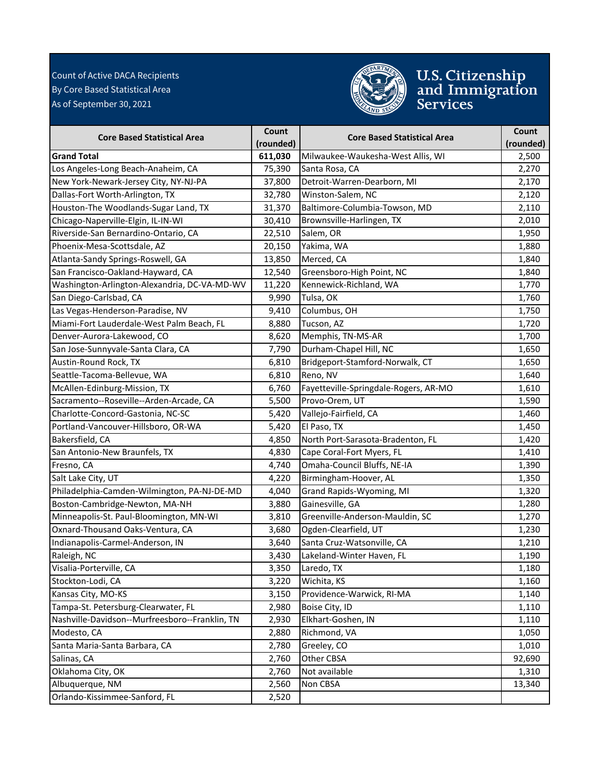#### As of September 30, 2021 Count of Active DACA Recipients By Core Based Statistical Area



# U.S. Citizenship<br>and Immigration<br>Services

| <b>Core Based Statistical Area</b>             | Count     | <b>Core Based Statistical Area</b>    | Count     |
|------------------------------------------------|-----------|---------------------------------------|-----------|
|                                                | (rounded) |                                       | (rounded) |
| <b>Grand Total</b>                             | 611,030   | Milwaukee-Waukesha-West Allis, WI     | 2,500     |
| Los Angeles-Long Beach-Anaheim, CA             | 75,390    | Santa Rosa, CA                        | 2,270     |
| New York-Newark-Jersey City, NY-NJ-PA          | 37,800    | Detroit-Warren-Dearborn, MI           | 2,170     |
| Dallas-Fort Worth-Arlington, TX                | 32,780    | Winston-Salem, NC                     | 2,120     |
| Houston-The Woodlands-Sugar Land, TX           | 31,370    | Baltimore-Columbia-Towson, MD         | 2,110     |
| Chicago-Naperville-Elgin, IL-IN-WI             | 30,410    | Brownsville-Harlingen, TX             | 2,010     |
| Riverside-San Bernardino-Ontario, CA           | 22,510    | Salem, OR                             | 1,950     |
| Phoenix-Mesa-Scottsdale, AZ                    | 20,150    | Yakima, WA                            | 1,880     |
| Atlanta-Sandy Springs-Roswell, GA              | 13,850    | Merced, CA                            | 1,840     |
| San Francisco-Oakland-Hayward, CA              | 12,540    | Greensboro-High Point, NC             | 1,840     |
| Washington-Arlington-Alexandria, DC-VA-MD-WV   | 11,220    | Kennewick-Richland, WA                | 1,770     |
| San Diego-Carlsbad, CA                         | 9,990     | Tulsa, OK                             | 1,760     |
| Las Vegas-Henderson-Paradise, NV               | 9,410     | Columbus, OH                          | 1,750     |
| Miami-Fort Lauderdale-West Palm Beach, FL      | 8,880     | Tucson, AZ                            | 1,720     |
| Denver-Aurora-Lakewood, CO                     | 8,620     | Memphis, TN-MS-AR                     | 1,700     |
| San Jose-Sunnyvale-Santa Clara, CA             | 7,790     | Durham-Chapel Hill, NC                | 1,650     |
| Austin-Round Rock, TX                          | 6,810     | Bridgeport-Stamford-Norwalk, CT       | 1,650     |
| Seattle-Tacoma-Bellevue, WA                    | 6,810     | Reno, NV                              | 1,640     |
| McAllen-Edinburg-Mission, TX                   | 6,760     | Fayetteville-Springdale-Rogers, AR-MO | 1,610     |
| Sacramento--Roseville--Arden-Arcade, CA        | 5,500     | Provo-Orem, UT                        | 1,590     |
| Charlotte-Concord-Gastonia, NC-SC              | 5,420     | Vallejo-Fairfield, CA                 | 1,460     |
| Portland-Vancouver-Hillsboro, OR-WA            | 5,420     | El Paso, TX                           | 1,450     |
| Bakersfield, CA                                | 4,850     | North Port-Sarasota-Bradenton, FL     | 1,420     |
| San Antonio-New Braunfels, TX                  | 4,830     | Cape Coral-Fort Myers, FL             | 1,410     |
| Fresno, CA                                     | 4,740     | Omaha-Council Bluffs, NE-IA           | 1,390     |
| Salt Lake City, UT                             | 4,220     | Birmingham-Hoover, AL                 | 1,350     |
| Philadelphia-Camden-Wilmington, PA-NJ-DE-MD    | 4,040     | Grand Rapids-Wyoming, MI              | 1,320     |
| Boston-Cambridge-Newton, MA-NH                 | 3,880     | Gainesville, GA                       | 1,280     |
| Minneapolis-St. Paul-Bloomington, MN-WI        | 3,810     | Greenville-Anderson-Mauldin, SC       | 1,270     |
| Oxnard-Thousand Oaks-Ventura, CA               | 3,680     | Ogden-Clearfield, UT                  | 1,230     |
| Indianapolis-Carmel-Anderson, IN               | 3,640     | Santa Cruz-Watsonville, CA            | 1,210     |
| Raleigh, NC                                    | 3,430     | Lakeland-Winter Haven, FL             | 1,190     |
| Visalia-Porterville, CA                        | 3,350     | Laredo, TX                            | 1,180     |
| Stockton-Lodi, CA                              | 3,220     | Wichita, KS                           | 1,160     |
| Kansas City, MO-KS                             | 3,150     | Providence-Warwick, RI-MA             | 1,140     |
| Tampa-St. Petersburg-Clearwater, FL            | 2,980     | Boise City, ID                        | 1,110     |
| Nashville-Davidson--Murfreesboro--Franklin, TN | 2,930     | Elkhart-Goshen, IN                    | 1,110     |
| Modesto, CA                                    | 2,880     | Richmond, VA                          | 1,050     |
| Santa Maria-Santa Barbara, CA                  | 2,780     | Greeley, CO                           | 1,010     |
| Salinas, CA                                    | 2,760     | Other CBSA                            | 92,690    |
| Oklahoma City, OK                              | 2,760     | Not available                         | 1,310     |
| Albuquerque, NM                                | 2,560     | Non CBSA                              | 13,340    |
| Orlando-Kissimmee-Sanford, FL                  | 2,520     |                                       |           |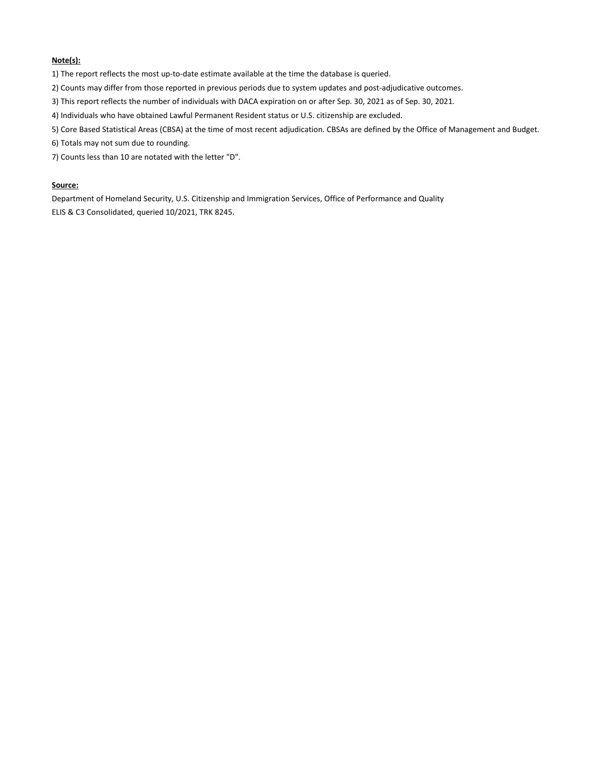#### **Note(s):**

1) The report reflects the most up-to-date estimate available at the time the database is queried.

- 2) Counts may differ from those reported in previous periods due to system updates and post-adjudicative outcomes.
- 3) This report reflects the number of individuals with DACA expiration on or after Sep. 30, 2021 as of Sep. 30, 2021.
- 4) Individuals who have obtained Lawful Permanent Resident status or U.S. citizenship are excluded.
- 5) Core Based Statistical Areas (CBSA) at the time of most recent adjudication. CBSAs are defined by the Office of Management and Budget.
- 6) Totals may not sum due to rounding.
- 7) Counts less than 10 are notated with the letter "D".

#### **Source:**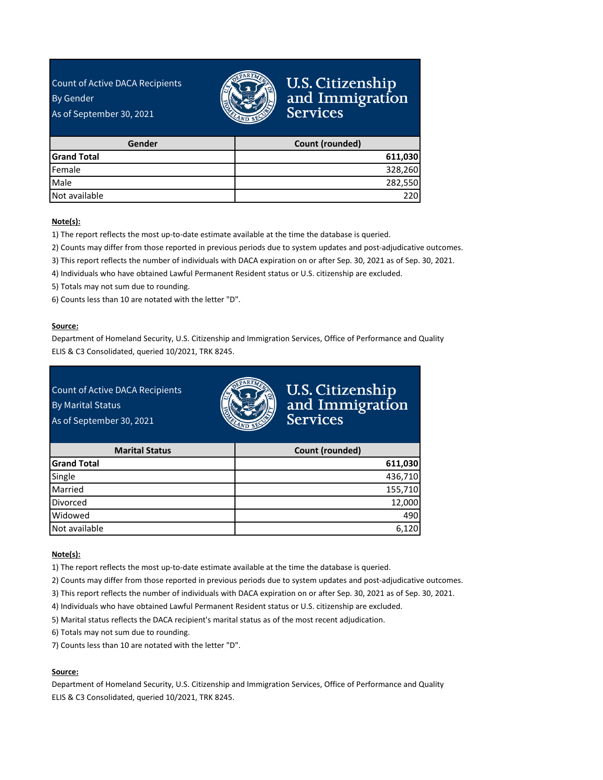Count of Active DACA Recipients By Gender

As of September 30, 2021



### U.S. Citizenship<br>and Immigration<br>Services

| Gender             | Count (rounded) |
|--------------------|-----------------|
| <b>Grand Total</b> | 611,030         |
| Female             | 328,260         |
| Male               | 282,550         |
| Not available      | 220             |

#### **Note(s):**

1) The report reflects the most up-to-date estimate available at the time the database is queried.

2) Counts may differ from those reported in previous periods due to system updates and post-adjudicative outcomes.

3) This report reflects the number of individuals with DACA expiration on or after Sep. 30, 2021 as of Sep. 30, 2021.

4) Individuals who have obtained Lawful Permanent Resident status or U.S. citizenship are excluded.

5) Totals may not sum due to rounding.

6) Counts less than 10 are notated with the letter "D".

#### **Source:**

Department of Homeland Security, U.S. Citizenship and Immigration Services, Office of Performance and Quality ELIS & C3 Consolidated, queried 10/2021, TRK 8245.

#### Count of Active DACA Recipients

By Marital Status

As of September 30, 2021



### U.S. Citizenship<br>and Immigration **Services**

| <b>Marital Status</b> | Count (rounded) |
|-----------------------|-----------------|
| <b>Grand Total</b>    | 611,030         |
| Single                | 436,710         |
| Married               | 155,710         |
| <b>Divorced</b>       | 12,000          |
| Widowed               | 490             |
| Not available         | 6,120           |

#### **Note(s):**

1) The report reflects the most up-to-date estimate available at the time the database is queried.

2) Counts may differ from those reported in previous periods due to system updates and post-adjudicative outcomes.

3) This report reflects the number of individuals with DACA expiration on or after Sep. 30, 2021 as of Sep. 30, 2021.

4) Individuals who have obtained Lawful Permanent Resident status or U.S. citizenship are excluded.

5) Marital status reflects the DACA recipient's marital status as of the most recent adjudication.

6) Totals may not sum due to rounding.

7) Counts less than 10 are notated with the letter "D".

#### **Source:**